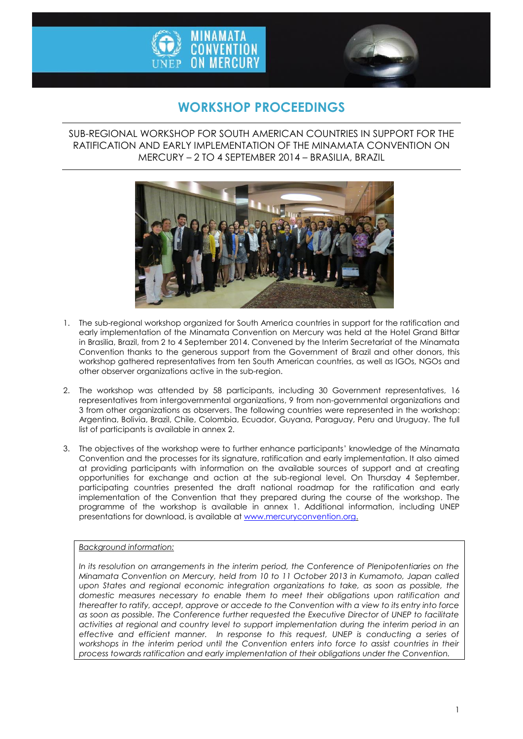



## **WORKSHOP PROCEEDINGS**

SUB-REGIONAL WORKSHOP FOR SOUTH AMERICAN COUNTRIES IN SUPPORT FOR THE RATIFICATION AND EARLY IMPLEMENTATION OF THE MINAMATA CONVENTION ON MERCURY – 2 TO 4 SEPTEMBER 2014 – BRASILIA, BRAZIL



- 1. The sub-regional workshop organized for South America countries in support for the ratification and early implementation of the Minamata Convention on Mercury was held at the Hotel Grand Bittar in Brasilia, Brazil, from 2 to 4 September 2014. Convened by the Interim Secretariat of the Minamata Convention thanks to the generous support from the Government of Brazil and other donors, this workshop gathered representatives from ten South American countries, as well as IGOs, NGOs and other observer organizations active in the sub-region.
- 2. The workshop was attended by 58 participants, including 30 Government representatives, 16 representatives from intergovernmental organizations, 9 from non-governmental organizations and 3 from other organizations as observers. The following countries were represented in the workshop: Argentina, Bolivia, Brazil, Chile, Colombia, Ecuador, Guyana, Paraguay, Peru and Uruguay. The full list of participants is available in annex 2.
- 3. The objectives of the workshop were to further enhance participants' knowledge of the Minamata Convention and the processes for its signature, ratification and early implementation. It also aimed at providing participants with information on the available sources of support and at creating opportunities for exchange and action at the sub-regional level. On Thursday 4 September, participating countries presented the draft national roadmap for the ratification and early implementation of the Convention that they prepared during the course of the workshop. The programme of the workshop is available in annex 1. Additional information, including UNEP presentations for download, is available a[t www.mercuryconvention.org.](http://www.mercuryconvention.org/)

#### *Background information:*

*In its resolution on arrangements in the interim period, the Conference of Plenipotentiaries on the Minamata Convention on Mercury, held from 10 to 11 October 2013 in Kumamoto, Japan called upon States and regional economic integration organizations to take, as soon as possible, the domestic measures necessary to enable them to meet their obligations upon ratification and thereafter to ratify, accept, approve or accede to the Convention with a view to its entry into force as soon as possible. The Conference further requested the Executive Director of UNEP to facilitate activities at regional and country level to support implementation during the interim period in an effective and efficient manner. In response to this request, UNEP is conducting a series of workshops in the interim period until the Convention enters into force to assist countries in their process towards ratification and early implementation of their obligations under the Convention.*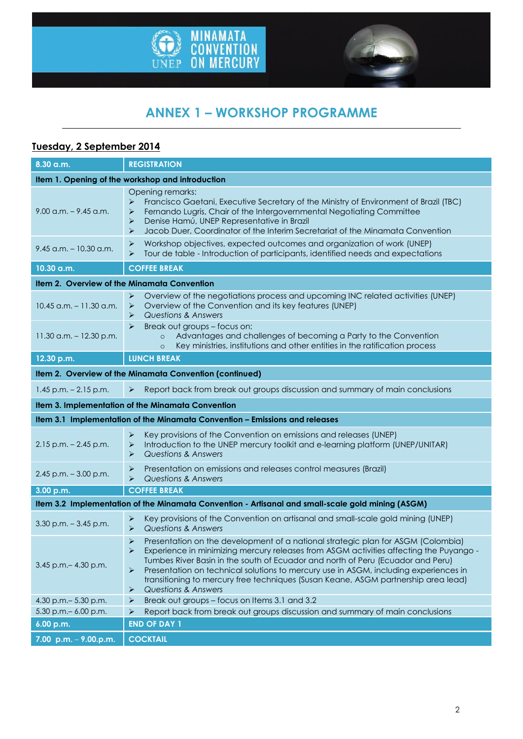



# **ANNEX 1 – WORKSHOP PROGRAMME**

## **Tuesday, 2 September 2014**

| 8.30 a.m.                                                                                         | <b>REGISTRATION</b>                                                                                                                                                                                                                                                                                                                                                                                                                                                                                              |  |  |
|---------------------------------------------------------------------------------------------------|------------------------------------------------------------------------------------------------------------------------------------------------------------------------------------------------------------------------------------------------------------------------------------------------------------------------------------------------------------------------------------------------------------------------------------------------------------------------------------------------------------------|--|--|
| Item 1. Opening of the workshop and introduction                                                  |                                                                                                                                                                                                                                                                                                                                                                                                                                                                                                                  |  |  |
| $9.00$ a.m. $-9.45$ a.m.                                                                          | Opening remarks:<br>Francisco Gaetani, Executive Secretary of the Ministry of Environment of Brazil (TBC)<br>➤<br>Fernando Lugris, Chair of the Intergovernmental Negotiating Committee<br>➤<br>Denise Hamú, UNEP Representative in Brazil<br>➤<br>Jacob Duer, Coordinator of the Interim Secretariat of the Minamata Convention<br>➤                                                                                                                                                                            |  |  |
| $9.45$ a.m. $-10.30$ a.m.                                                                         | Workshop objectives, expected outcomes and organization of work (UNEP)<br>➤<br>Tour de table - Introduction of participants, identified needs and expectations<br>➤                                                                                                                                                                                                                                                                                                                                              |  |  |
| 10.30 a.m.                                                                                        | <b>COFFEE BREAK</b>                                                                                                                                                                                                                                                                                                                                                                                                                                                                                              |  |  |
| Item 2. Overview of the Minamata Convention                                                       |                                                                                                                                                                                                                                                                                                                                                                                                                                                                                                                  |  |  |
| $10.45$ a.m. $-11.30$ a.m.                                                                        | Overview of the negotiations process and upcoming INC related activities (UNEP)<br>➤<br>Overview of the Convention and its key features (UNEP)<br>➤<br>Questions & Answers<br>➤                                                                                                                                                                                                                                                                                                                                  |  |  |
| $11.30$ a.m. $-12.30$ p.m.                                                                        | $\blacktriangleright$<br>Break out groups - focus on:<br>Advantages and challenges of becoming a Party to the Convention<br>$\circ$<br>Key ministries, institutions and other entities in the ratification process<br>$\circ$                                                                                                                                                                                                                                                                                    |  |  |
| 12.30 p.m.                                                                                        | <b>LUNCH BREAK</b>                                                                                                                                                                                                                                                                                                                                                                                                                                                                                               |  |  |
|                                                                                                   | Item 2. Overview of the Minamata Convention (continued)                                                                                                                                                                                                                                                                                                                                                                                                                                                          |  |  |
| $1.45$ p.m. $- 2.15$ p.m.                                                                         | Report back from break out groups discussion and summary of main conclusions<br>➤                                                                                                                                                                                                                                                                                                                                                                                                                                |  |  |
|                                                                                                   | Item 3. Implementation of the Minamata Convention                                                                                                                                                                                                                                                                                                                                                                                                                                                                |  |  |
| Item 3.1 Implementation of the Minamata Convention - Emissions and releases                       |                                                                                                                                                                                                                                                                                                                                                                                                                                                                                                                  |  |  |
| $2.15$ p.m. $- 2.45$ p.m.                                                                         | Key provisions of the Convention on emissions and releases (UNEP)<br>$\blacktriangleright$<br>Introduction to the UNEP mercury toolkit and e-learning platform (UNEP/UNITAR)<br>➤<br><b>Questions &amp; Answers</b><br>➤                                                                                                                                                                                                                                                                                         |  |  |
| $2.45$ p.m. $-3.00$ p.m.                                                                          | Presentation on emissions and releases control measures (Brazil)<br>➤<br>Questions & Answers<br>⋗                                                                                                                                                                                                                                                                                                                                                                                                                |  |  |
| 3.00 p.m.                                                                                         | <b>COFFEE BREAK</b>                                                                                                                                                                                                                                                                                                                                                                                                                                                                                              |  |  |
| Item 3.2 Implementation of the Minamata Convention - Artisanal and small-scale gold mining (ASGM) |                                                                                                                                                                                                                                                                                                                                                                                                                                                                                                                  |  |  |
| $3.30$ p.m. $-3.45$ p.m.                                                                          | Key provisions of the Convention on artisanal and small-scale gold mining (UNEP)<br>➤<br><b>Questions &amp; Answers</b><br>$\blacktriangleright$                                                                                                                                                                                                                                                                                                                                                                 |  |  |
| 3.45 p.m. - 4.30 p.m.                                                                             | Presentation on the development of a national strategic plan for ASGM (Colombia)<br>➤<br>Experience in minimizing mercury releases from ASGM activities affecting the Puyango -<br>Tumbes River Basin in the south of Ecuador and north of Peru (Ecuador and Peru)<br>Presentation on technical solutions to mercury use in ASGM, including experiences in<br>➤<br>transitioning to mercury free techniques (Susan Keane, ASGM partnership area lead)<br><b>Questions &amp; Answers</b><br>$\blacktriangleright$ |  |  |
| 4.30 p.m. - 5.30 p.m.                                                                             | Break out groups - focus on Items 3.1 and 3.2<br>$\blacktriangleright$                                                                                                                                                                                                                                                                                                                                                                                                                                           |  |  |
| 5.30 p.m. - 6.00 p.m.                                                                             | Report back from break out groups discussion and summary of main conclusions<br>➤                                                                                                                                                                                                                                                                                                                                                                                                                                |  |  |
| 6.00 p.m.                                                                                         | <b>END OF DAY 1</b>                                                                                                                                                                                                                                                                                                                                                                                                                                                                                              |  |  |
| 7.00 p.m. $-$ 9.00.p.m.                                                                           | <b>COCKTAIL</b>                                                                                                                                                                                                                                                                                                                                                                                                                                                                                                  |  |  |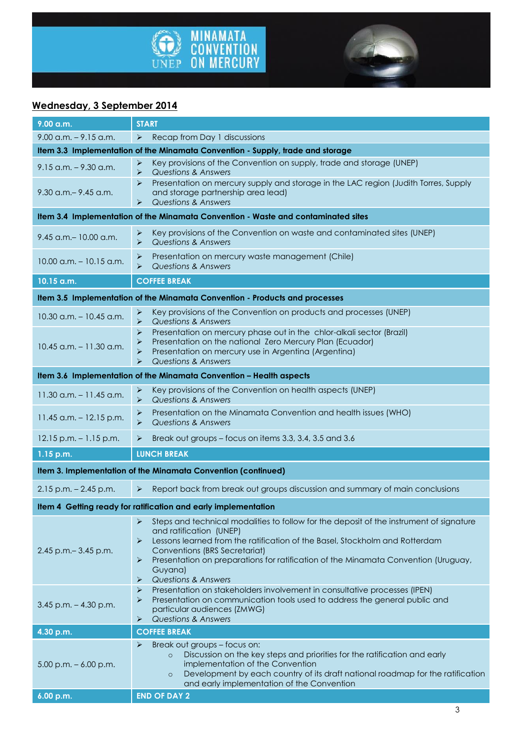



## **Wednesday, 3 September 2014**

| 9.00 a.m.                                                           | <b>START</b>                                                                                                                                                                                                                                                                                                                                                                                     |  |  |
|---------------------------------------------------------------------|--------------------------------------------------------------------------------------------------------------------------------------------------------------------------------------------------------------------------------------------------------------------------------------------------------------------------------------------------------------------------------------------------|--|--|
| $9.00$ a.m. $-9.15$ a.m.                                            | Recap from Day 1 discussions<br>$\blacktriangleright$                                                                                                                                                                                                                                                                                                                                            |  |  |
|                                                                     | Item 3.3 Implementation of the Minamata Convention - Supply, trade and storage                                                                                                                                                                                                                                                                                                                   |  |  |
| $9.15$ a.m. $-9.30$ a.m.                                            | Key provisions of the Convention on supply, trade and storage (UNEP)<br>➤<br>Questions & Answers<br>➤                                                                                                                                                                                                                                                                                            |  |  |
| $9.30$ a.m. $-9.45$ a.m.                                            | Presentation on mercury supply and storage in the LAC region (Judith Torres, Supply<br>➤<br>and storage partnership area lead)<br><b>Questions &amp; Answers</b><br>➤                                                                                                                                                                                                                            |  |  |
|                                                                     | Item 3.4 Implementation of the Minamata Convention - Waste and contaminated sites                                                                                                                                                                                                                                                                                                                |  |  |
| $9.45$ a.m. $-10.00$ a.m.                                           | Key provisions of the Convention on waste and contaminated sites (UNEP)<br>➤<br>$\blacktriangleright$<br>Questions & Answers                                                                                                                                                                                                                                                                     |  |  |
| $10.00$ a.m. $-10.15$ a.m.                                          | Presentation on mercury waste management (Chile)<br>➤<br>Questions & Answers                                                                                                                                                                                                                                                                                                                     |  |  |
| 10.15 a.m.                                                          | <b>COFFEE BREAK</b>                                                                                                                                                                                                                                                                                                                                                                              |  |  |
|                                                                     | Item 3.5 Implementation of the Minamata Convention - Products and processes                                                                                                                                                                                                                                                                                                                      |  |  |
|                                                                     | Key provisions of the Convention on products and processes (UNEP)<br>➤                                                                                                                                                                                                                                                                                                                           |  |  |
| $10.30$ a.m. $- 10.45$ a.m.                                         | <b>Questions &amp; Answers</b><br>$\blacktriangleright$                                                                                                                                                                                                                                                                                                                                          |  |  |
| $10.45$ a.m. $-11.30$ a.m.                                          | Presentation on mercury phase out in the chlor-alkali sector (Brazil)<br>➤<br>Presentation on the national Zero Mercury Plan (Ecuador)<br>➤<br>Presentation on mercury use in Argentina (Argentina)<br>⋗<br><b>Questions &amp; Answers</b><br>⋗                                                                                                                                                  |  |  |
| Item 3.6 Implementation of the Minamata Convention - Health aspects |                                                                                                                                                                                                                                                                                                                                                                                                  |  |  |
| $11.30$ a.m. $- 11.45$ a.m.                                         | Key provisions of the Convention on health aspects (UNEP)<br>➤<br>$\blacktriangleright$<br>Questions & Answers                                                                                                                                                                                                                                                                                   |  |  |
| 11.45 a.m. - 12.15 p.m.                                             | Presentation on the Minamata Convention and health issues (WHO)<br>➤<br>$\blacktriangleright$<br>Questions & Answers                                                                                                                                                                                                                                                                             |  |  |
| $12.15$ p.m. $-1.15$ p.m.                                           | Break out groups - focus on items 3.3, 3.4, 3.5 and 3.6<br>➤                                                                                                                                                                                                                                                                                                                                     |  |  |
| 1.15 p.m.                                                           | <b>LUNCH BREAK</b>                                                                                                                                                                                                                                                                                                                                                                               |  |  |
| Item 3. Implementation of the Minamata Convention (continued)       |                                                                                                                                                                                                                                                                                                                                                                                                  |  |  |
| $2.15$ p.m. $- 2.45$ p.m.                                           | Report back from break out groups discussion and summary of main conclusions<br>$\blacktriangleright$                                                                                                                                                                                                                                                                                            |  |  |
| Item 4 Getting ready for ratification and early implementation      |                                                                                                                                                                                                                                                                                                                                                                                                  |  |  |
| 2.45 p.m. - 3.45 p.m.                                               | Steps and technical modalities to follow for the deposit of the instrument of signature<br>➤<br>and ratification (UNEP)<br>Lessons learned from the ratification of the Basel, Stockholm and Rotterdam<br>➤<br><b>Conventions (BRS Secretariat)</b><br>Presentation on preparations for ratification of the Minamata Convention (Uruguay,<br>➤<br>Guyana)<br><b>Questions &amp; Answers</b><br>➤ |  |  |
| $3.45$ p.m. $- 4.30$ p.m.                                           | Presentation on stakeholders involvement in consultative processes (IPEN)<br>➤<br>Presentation on communication tools used to address the general public and<br>➤<br>particular audiences (ZMWG)<br><b>Questions &amp; Answers</b><br>➤                                                                                                                                                          |  |  |
| 4.30 p.m.                                                           | <b>COFFEE BREAK</b>                                                                                                                                                                                                                                                                                                                                                                              |  |  |
| $5.00$ p.m. $-6.00$ p.m.                                            | Break out groups - focus on:<br>⋗<br>Discussion on the key steps and priorities for the ratification and early<br>$\circ$<br>implementation of the Convention<br>Development by each country of its draft national roadmap for the ratification<br>$\circ$<br>and early implementation of the Convention                                                                                         |  |  |
| 6.00 p.m.                                                           | <b>END OF DAY 2</b>                                                                                                                                                                                                                                                                                                                                                                              |  |  |
|                                                                     | 3                                                                                                                                                                                                                                                                                                                                                                                                |  |  |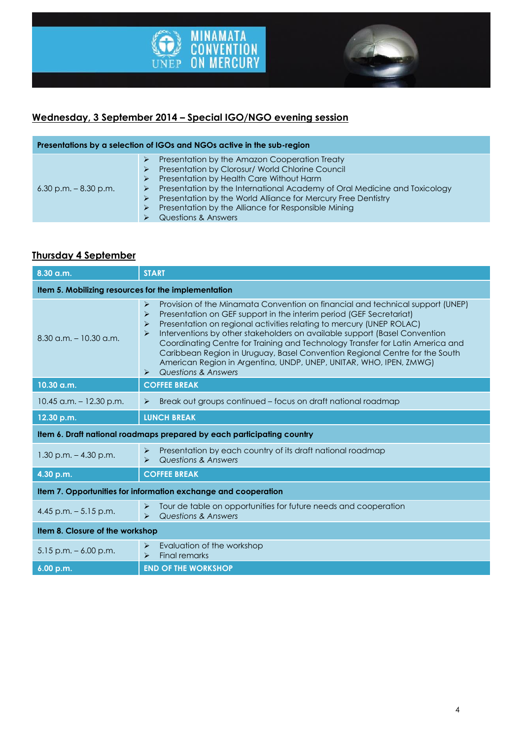



## **Wednesday, 3 September 2014 – Special IGO/NGO evening session**

| Presentations by a selection of IGOs and NGOs active in the sub-region |                                                                                                                                                                                                                                                                                                                                                                                |  |  |
|------------------------------------------------------------------------|--------------------------------------------------------------------------------------------------------------------------------------------------------------------------------------------------------------------------------------------------------------------------------------------------------------------------------------------------------------------------------|--|--|
| $6.30$ p.m. $-8.30$ p.m.                                               | Presentation by the Amazon Cooperation Treaty<br>➤<br>Presentation by Clorosur/ World Chlorine Council<br>Presentation by Health Care Without Harm<br>Presentation by the International Academy of Oral Medicine and Toxicology<br>Presentation by the World Alliance for Mercury Free Dentistry<br>Presentation by the Alliance for Responsible Mining<br>Questions & Answers |  |  |

### **Thursday 4 September**

| 8.30 a.m.                                                              | <b>START</b>                                                                                                                                                                                                                                                                                                                                                                                                                                                                                                                                                                                                                                                              |  |
|------------------------------------------------------------------------|---------------------------------------------------------------------------------------------------------------------------------------------------------------------------------------------------------------------------------------------------------------------------------------------------------------------------------------------------------------------------------------------------------------------------------------------------------------------------------------------------------------------------------------------------------------------------------------------------------------------------------------------------------------------------|--|
| Item 5. Mobilizing resources for the implementation                    |                                                                                                                                                                                                                                                                                                                                                                                                                                                                                                                                                                                                                                                                           |  |
| $8.30$ a.m. $-10.30$ a.m.                                              | Provision of the Minamata Convention on financial and technical support (UNEP)<br>$\blacktriangleright$<br>Presentation on GEF support in the interim period (GEF Secretariat)<br>$\blacktriangleright$<br>Presentation on regional activities relating to mercury (UNEP ROLAC)<br>⋗<br>Interventions by other stakeholders on available support (Basel Convention<br>⋗<br>Coordinating Centre for Training and Technology Transfer for Latin America and<br>Caribbean Region in Uruguay, Basel Convention Regional Centre for the South<br>American Region in Argentina, UNDP, UNEP, UNITAR, WHO, IPEN, ZMWG)<br><b>Questions &amp; Answers</b><br>$\blacktriangleright$ |  |
| 10.30 a.m.                                                             | <b>COFFEE BREAK</b>                                                                                                                                                                                                                                                                                                                                                                                                                                                                                                                                                                                                                                                       |  |
| $10.45$ a.m. $-12.30$ p.m.                                             | Break out groups continued - focus on draft national roadmap<br>$\blacktriangleright$                                                                                                                                                                                                                                                                                                                                                                                                                                                                                                                                                                                     |  |
| 12.30 p.m.                                                             | <b>LUNCH BREAK</b>                                                                                                                                                                                                                                                                                                                                                                                                                                                                                                                                                                                                                                                        |  |
| Item 6. Draft national roadmaps prepared by each participating country |                                                                                                                                                                                                                                                                                                                                                                                                                                                                                                                                                                                                                                                                           |  |
| $1.30$ p.m. $-4.30$ p.m.                                               | Presentation by each country of its draft national roadmap<br>$\blacktriangleright$<br>Questions & Answers<br>➤                                                                                                                                                                                                                                                                                                                                                                                                                                                                                                                                                           |  |
| 4.30 p.m.                                                              | <b>COFFEE BREAK</b>                                                                                                                                                                                                                                                                                                                                                                                                                                                                                                                                                                                                                                                       |  |
| Item 7. Opportunities for information exchange and cooperation         |                                                                                                                                                                                                                                                                                                                                                                                                                                                                                                                                                                                                                                                                           |  |
| 4.45 p.m. $-5.15$ p.m.                                                 | Tour de table on opportunities for future needs and cooperation<br>$\blacktriangleright$<br><b>Questions &amp; Answers</b><br>$\blacktriangleright$                                                                                                                                                                                                                                                                                                                                                                                                                                                                                                                       |  |
| Item 8. Closure of the workshop                                        |                                                                                                                                                                                                                                                                                                                                                                                                                                                                                                                                                                                                                                                                           |  |
| $5.15$ p.m. $-6.00$ p.m.                                               | Evaluation of the workshop<br>$\blacktriangleright$<br><b>Final remarks</b><br>$\blacktriangleright$                                                                                                                                                                                                                                                                                                                                                                                                                                                                                                                                                                      |  |
| 6.00 p.m.                                                              | <b>END OF THE WORKSHOP</b>                                                                                                                                                                                                                                                                                                                                                                                                                                                                                                                                                                                                                                                |  |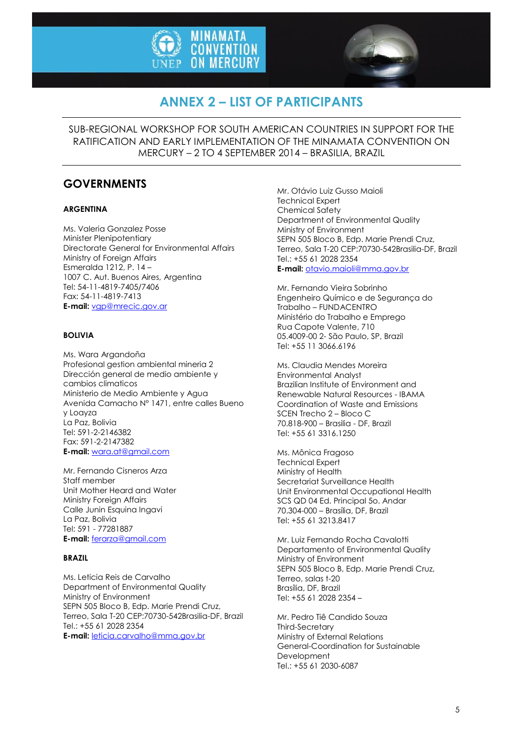



# **ANNEX 2 – LIST OF PARTICIPANTS**

SUB-REGIONAL WORKSHOP FOR SOUTH AMERICAN COUNTRIES IN SUPPORT FOR THE RATIFICATION AND EARLY IMPLEMENTATION OF THE MINAMATA CONVENTION ON MERCURY – 2 TO 4 SEPTEMBER 2014 – BRASILIA, BRAZIL

## **GOVERNMENTS**

#### **ARGENTINA**

Ms. Valeria Gonzalez Posse Minister Plenipotentiary Directorate General for Environmental Affairs Ministry of Foreign Affairs Esmeralda 1212, P. 14 – 1007 C. Aut. Buenos Aires, Argentina Tel: 54-11-4819-7405/7406 Fax: 54-11-4819-7413 **E-mail:** [vgp@mrecic.gov.ar](mailto:vgp@mrecic.gov.ar)

#### **BOLIVIA**

Ms. Wara Argandoña Profesional gestion ambiental mineria 2 Dirección general de medio ambiente y cambios climaticos Ministerio de Medio Ambiente y Agua Avenida Camacho N° 1471, entre calles Bueno y Loayza La Paz, Bolivia Tel: 591-2-2146382 Fax: 591-2-2147382 **E-mail:** [wara.at@gmail.com](mailto:wara.at@gmail.com)

Mr. Fernando Cisneros Arza Staff member Unit Mother Heard and Water Ministry Foreign Affairs Calle Junin Esquina Ingavi La Paz, Bolivia Tel: 591 - 77281887 **E-mail:** [ferarza@gmail.com](mailto:ferarza@gmail.com)

#### **BRAZIL**

Ms. Leticia Reis de Carvalho Department of Environmental Quality Ministry of Environment SEPN 505 Bloco B, Edp. Marie Prendi Cruz, Terreo, Sala T-20 CEP:70730-542Brasilia-DF, Brazil Tel.: +55 61 2028 2354 **E-mail:** [leticia.carvalho@mma.gov.br](mailto:leticia.carvalho@mma.gov.br)

Mr. Otávio Luiz Gusso Maioli Technical Expert Chemical Safety Department of Environmental Quality Ministry of Environment SEPN 505 Bloco B, Edp. Marie Prendi Cruz, Terreo, Sala T-20 CEP:70730-542Brasilia-DF, Brazil Tel.: +55 61 2028 2354 **E-mail:** [otavio.maioli@mma.gov.br](mailto:otavio.maioli@mma.gov.br)

Mr. Fernando Vieira Sobrinho Engenheiro Químico e de Segurança do Trabalho – FUNDACENTRO Ministério do Trabalho e Emprego Rua Capote Valente, 710 05.4009-00 2- São Paulo, SP, Brazil Tel: +55 11 3066.6196

Ms. Claudia Mendes Moreira Environmental Analyst Brazilian Institute of Environment and Renewable Natural Resources - IBAMA Coordination of Waste and Emissions SCEN Trecho 2 – Bloco C 70.818-900 – Brasilia - DF, Brazil Tel: +55 61 3316.1250

Ms. Mônica Fragoso Technical Expert Ministry of Health Secretariat Surveillance Health Unit Environmental Occupational Health SCS QD 04 Ed. Principal 5o. Andar 70.304-000 – Brasília, DF, Brazil Tel: +55 61 3213.8417

Mr. Luiz Fernando Rocha Cavalotti Departamento of Environmental Quality Ministry of Environment SEPN 505 Bloco B, Edp. Marie Prendi Cruz, Terreo, salas t-20 Brasília, DF, Brazil Tel: +55 61 2028 2354 –

Mr. Pedro Tiê Candido Souza Third-Secretary Ministry of External Relations General-Coordination for Sustainable **Development** Tel.: +55 61 2030-6087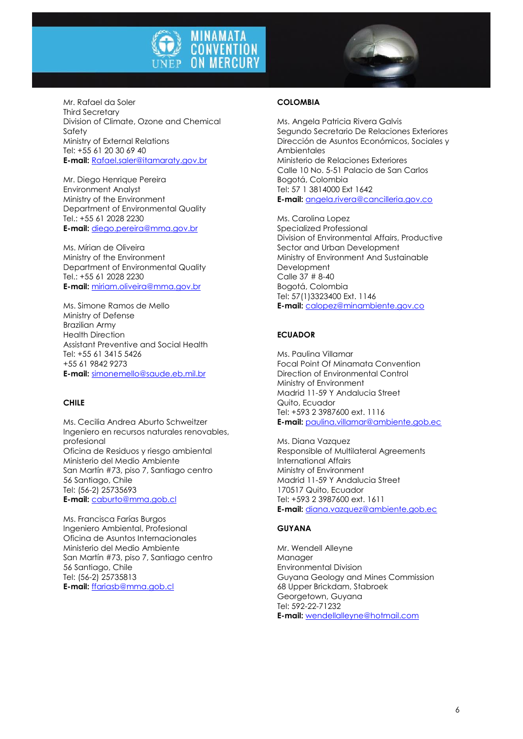

Mr. Rafael da Soler Third Secretary Division of Climate, Ozone and Chemical Safety Ministry of External Relations Tel: +55 61 20 30 69 40 **E-mail:** [Rafael.saler@itamaraty.gov.br](mailto:Rafael.saler@itamaraty.gov.br)

Mr. Diego Henrique Pereira Environment Analyst Ministry of the Environment Department of Environmental Quality Tel.: +55 61 2028 2230 **E-mail:** [diego.pereira@mma.gov.br](mailto:diego.pereira@mma.gov.br)

Ms. Mírian de Oliveira Ministry of the Environment Department of Environmental Quality Tel.: +55 61 2028 2230 **E-mail:** [miriam.oliveira@mma.gov.br](mailto:miriam.oliveira@mma.gov.br)

Ms. Simone Ramos de Mello Ministry of Defense Brazilian Army Health Direction Assistant Preventive and Social Health Tel: +55 61 3415 5426 +55 61 9842 9273 **E-mail:** [simonemello@saude.eb.mil.br](mailto:simonemello@saude.eb.mil.br)

#### **CHILE**

Ms. Cecilia Andrea Aburto Schweitzer Ingeniero en recursos naturales renovables, profesional Oficina de Residuos y riesgo ambiental Ministerio del Medio Ambiente San Martín #73, piso 7, Santiago centro 56 Santiago, Chile Tel: (56-2) 25735693 **E-mail:** [caburto@mma.gob.cl](mailto:caburto@mma.gob.cl)

Ms. Francisca Farías Burgos Ingeniero Ambiental, Profesional Oficina de Asuntos Internacionales Ministerio del Medio Ambiente San Martín #73, piso 7, Santiago centro 56 Santiago, Chile Tel: (56-2) 25735813 **E-mail:** [ffariasb@mma.gob.cl](mailto:ffariasb@mma.gob.cl)

#### **COLOMBIA**

Ms. Angela Patricia Rivera Galvis Segundo Secretario De Relaciones Exteriores Dirección de Asuntos Económicos, Sociales y **Ambientales** Ministerio de Relaciones Exteriores Calle 10 No. 5-51 Palacio de San Carlos Bogotá, Colombia Tel: 57 1 3814000 Ext 1642 **E-mail:** [angela.rivera@cancilleria.gov.co](mailto:angela.rivera@cancilleria.gov.co)

Ms. Carolina Lopez Specialized Professional Division of Environmental Affairs, Productive Sector and Urban Development Ministry of Environment And Sustainable Development Calle 37 # 8-40 Bogotá, Colombia Tel: 57(1)3323400 Ext. 1146 **E-mail:** [calopez@minambiente.gov.co](mailto:calopez@minambiente.gov.co)

#### **ECUADOR**

Ms. Paulina Villamar Focal Point Of Minamata Convention Direction of Environmental Control Ministry of Environment Madrid 11-59 Y Andalucia Street Quito, Ecuador Tel: +593 2 3987600 ext. 1116 **E-mail:** [paulina.villamar@ambiente.gob.ec](mailto:paulina.villamar@ambiente.gob.ec)

Ms. Diana Vazquez Responsible of Multilateral Agreements International Affairs Ministry of Environment Madrid 11-59 Y Andalucia Street 170517 Quito, Ecuador Tel: +593 2 3987600 ext. 1611 **E-mail:** [diana.vazquez@ambiente.gob.ec](mailto:diana.vazquez@ambiente.gob.ec)

#### **GUYANA**

Mr. Wendell Alleyne Manager Environmental Division Guyana Geology and Mines Commission 68 Upper Brickdam, Stabroek Georgetown, Guyana Tel: 592-22-71232 **E-mail:** [wendellalleyne@hotmail.com](mailto:wendellalleyne@hotmail.com)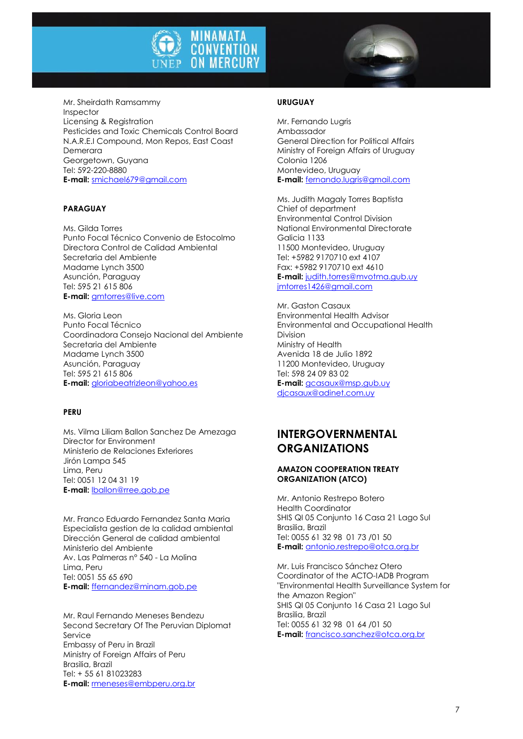

Mr. Sheirdath Ramsammy Inspector Licensing & Registration Pesticides and Toxic Chemicals Control Board N.A.R.E.I Compound, Mon Repos, East Coast Demerara Georgetown, Guyana Tel: 592-220-8880

**E-mail:** [smichael679@gmail.com](mailto:smichael679@gmail.com)

#### **PARAGUAY**

Ms. Gilda Torres Punto Focal Técnico Convenio de Estocolmo Directora Control de Calidad Ambiental Secretaria del Ambiente Madame Lynch 3500 Asunción, Paraguay Tel: 595 21 615 806 **E-mail:** [gmtorres@live.com](mailto:gmtorres@live.com)

Ms. Gloria Leon Punto Focal Técnico Coordinadora Consejo Nacional del Ambiente Secretaria del Ambiente Madame Lynch 3500 Asunción, Paraguay Tel: 595 21 615 806 **E-mail:** [gloriabeatrizleon@yahoo.es](mailto:gloriabeatrizleon@yahoo.es)

#### **PERU**

Ms. Vilma Liliam Ballon Sanchez De Amezaga Director for Environment Ministerio de Relaciones Exteriores Jirón Lampa 545 Lima, Peru Tel: 0051 12 04 31 19 **E-mail:** [lballon@rree.gob.pe](mailto:lballon@rree.gob.pe)

Mr. Franco Eduardo Fernandez Santa Maria Especialista gestion de la calidad ambiental Dirección General de calidad ambiental Ministerio del Ambiente Av. Las Palmeras n° 540 - La Molina Lima, Peru Tel: 0051 55 65 690 **E-mail:** [ffernandez@minam.gob.pe](mailto:ffernandez@minam.gob.pe)

Mr. Raul Fernando Meneses Bendezu Second Secretary Of The Peruvian Diplomat Service Embassy of Peru in Brazil Ministry of Foreign Affairs of Peru Brasilia, Brazil Tel: + 55 61 81023283 **E-mail:** [rmeneses@embperu.org.br](mailto:rmeneses@embperu.org.br)

#### **URUGUAY**

Mr. Fernando Lugris Ambassador General Direction for Political Affairs Ministry of Foreign Affairs of Uruguay Colonia 1206 Montevideo, Uruguay **E-mail:** [fernando.lugris@gmail.com](mailto:fernando.lugris@gmail.com)

Ms. Judith Magaly Torres Baptista Chief of department Environmental Control Division National Environmental Directorate Galicia 1133 11500 Montevideo, Uruguay Tel: +5982 9170710 ext 4107 Fax: +5982 9170710 ext 4610 **E-mail:** [judith.torres@mvotma.gub.uy](mailto:judith.torres@mvotma.gub.uy) [jmtorres1426@gmail.com](mailto:jmtorres1426@gmail.com)

Mr. Gaston Casaux Environmental Health Advisor Environmental and Occupational Health Division Ministry of Health Avenida 18 de Julio 1892 11200 Montevideo, Uruguay Tel: 598 24 09 83 02 **E-mail:** [gcasaux@msp.gub.uy](mailto:gcasaux@msp.gub.uy)

[djcasaux@adinet.com.uy](mailto:djcasaux@adinet.com.uy)

### **INTERGOVERNMENTAL ORGANIZATIONS**

#### **AMAZON COOPERATION TREATY ORGANIZATION (ATCO)**

Mr. Antonio Restrepo Botero Health Coordinator SHIS QI 05 Conjunto 16 Casa 21 Lago Sul Brasilia, Brazil Tel: 0055 61 32 98 01 73 /01 50 **E-mail:** [antonio.restrepo@otca.org.br](mailto:antonio.restrepo@otca.org.br)

Mr. Luis Francisco Sánchez Otero Coordinator of the ACTO-IADB Program "Environmental Health Surveillance System for the Amazon Region" SHIS QI 05 Conjunto 16 Casa 21 Lago Sul Brasilia, Brazil Tel: 0055 61 32 98 01 64 /01 50 **E-mail:** [francisco.sanchez@otca.org.br](mailto:francisco.sanchez@otca.org.br)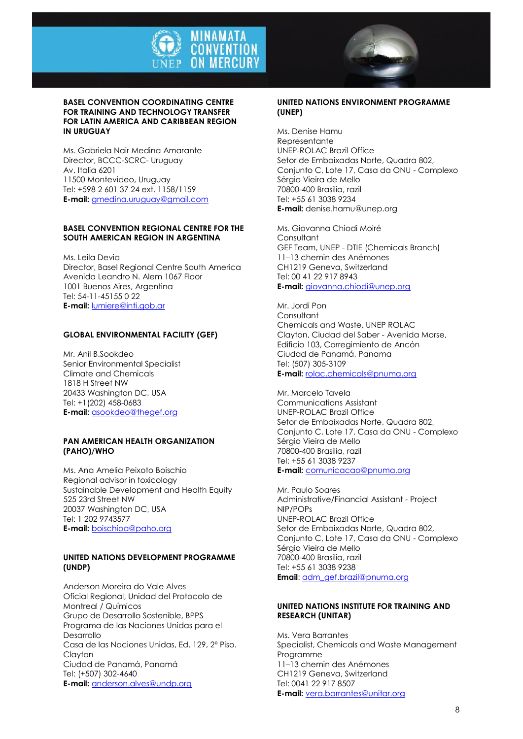

#### **BASEL CONVENTION COORDINATING CENTRE FOR TRAINING AND TECHNOLOGY TRANSFER FOR LATIN AMERICA AND CARIBBEAN REGION IN URUGUAY**

Ms. Gabriela Nair Medina Amarante Director, BCCC-SCRC- Uruguay Av. Italia 6201 11500 Montevideo, Uruguay Tel: +598 2 601 37 24 ext. 1158/1159 **E-mail:** [gmedina.uruguay@gmail.com](mailto:gmedina.uruguay@gmail.com)

#### **BASEL CONVENTION REGIONAL CENTRE FOR THE SOUTH AMERICAN REGION IN ARGENTINA**

Ms. Leila Devia Director, Basel Regional Centre South America Avenida Leandro N. Alem 1067 Floor 1001 Buenos Aires, Argentina Tel: 54-11-45155 0 22 **E-mail:** [lumiere@inti.gob.ar](mailto:lumiere@inti.gob.ar)

#### **GLOBAL ENVIRONMENTAL FACILITY (GEF)**

Mr. Anil B.Sookdeo Senior Environmental Specialist Climate and Chemicals 1818 H Street NW 20433 Washington DC, USA Tel: +1(202) 458-0683 **E-mail:** [asookdeo@thegef.org](mailto:asookdeo@thegef.org)

#### **PAN AMERICAN HEALTH ORGANIZATION (PAHO)/WHO**

Ms. Ana Amelia Peixoto Boischio Regional advisor in toxicology Sustainable Development and Health Equity 525 23rd Street NW 20037 Washington DC, USA Tel: 1 202 9743577 **E-mail:** [boischioa@paho.org](mailto:boischioa@paho.org)

#### **UNITED NATIONS DEVELOPMENT PROGRAMME (UNDP)**

Anderson Moreira do Vale Alves Oficial Regional, Unidad del Protocolo de Montreal / Químicos Grupo de Desarrollo Sostenible, BPPS Programa de las Naciones Unidas para el Desarrollo Casa de las Naciones Unidas, Ed. 129, 2º Piso. Clayton Ciudad de Panamá, Panamá Tel: (+507) 302-4640 **E-mail:** [anderson.alves@undp.org](mailto:anderson.alves@undp.org)

#### **UNITED NATIONS ENVIRONMENT PROGRAMME (UNEP)**

Ms. Denise Hamu Representante UNEP-ROLAC Brazil Office Setor de Embaixadas Norte, Quadra 802, Conjunto C, Lote 17, Casa da ONU - Complexo Sérgio Vieira de Mello 70800-400 Brasilia, razil Tel: +55 61 3038 9234 **E-mail:** denise.hamu@unep.org

Ms. Giovanna Chiodi Moiré Consultant GEF Team, UNEP - DTIE (Chemicals Branch) 11–13 chemin des Anémones CH1219 Geneva, Switzerland Tel: 00 41 22 917 8943 **E-mail:** [giovanna.chiodi@unep.org](mailto:giovanna.chiodi@unep.org)

Mr. Jordi Pon **Consultant** Chemicals and Waste, UNEP ROLAC Clayton, Ciudad del Saber - Avenida Morse, Edificio 103, Corregimiento de Ancón Ciudad de Panamá, Panama Tel: (507) 305-3109 **E-mail:** [rolac.chemicals@pnuma.org](mailto:rolac.chemicals@pnuma.org)

Mr. Marcelo Tavela Communications Assistant UNEP-ROLAC Brazil Office Setor de Embaixadas Norte, Quadra 802, Conjunto C, Lote 17, Casa da ONU - Complexo Sérgio Vieira de Mello 70800-400 Brasilia, razil Tel: +55 61 3038 9237 **E-mail:** [comunicacao@pnuma.org](mailto:comunicacao@pnuma.org)

Mr. Paulo Soares Administrative/Financial Assistant - Project NIP/POPs UNEP-ROLAC Brazil Office Setor de Embaixadas Norte, Quadra 802, Conjunto C, Lote 17, Casa da ONU - Complexo Sérgio Vieira de Mello 70800-400 Brasilia, razil Tel: +55 61 3038 9238 **Email**: [adm\\_gef.brazil@pnuma.org](mailto:adm_gef.brazil@pnuma.org)

#### **UNITED NATIONS INSTITUTE FOR TRAINING AND RESEARCH (UNITAR)**

Ms. Vera Barrantes Specialist, Chemicals and Waste Management Programme 11–13 chemin des Anémones CH1219 Geneva, Switzerland Tel: 0041 22 917 8507 **E-mail:** [vera.barrantes@unitar.org](mailto:vera.barrantes@unitar.org)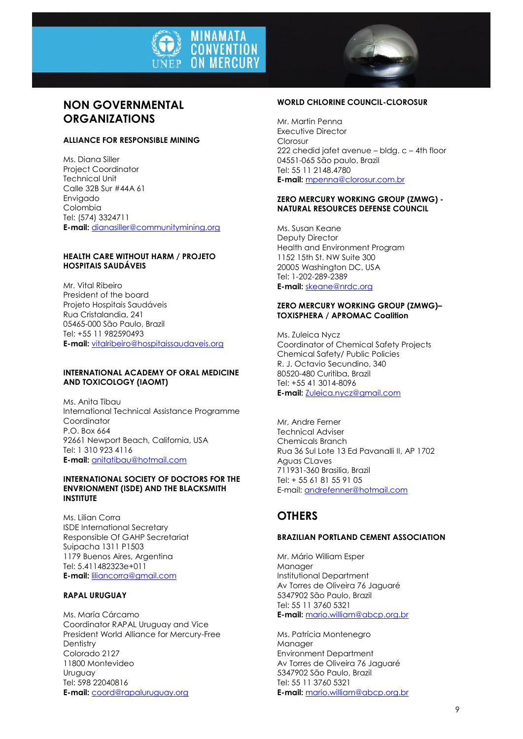

### **NON GOVERNMENTAL ORGANIZATIONS**

#### **ALLIANCE FOR RESPONSIBLE MINING**

Ms. Diana Siller Project Coordinator Technical Unit Calle 32B Sur #44A 61 Envigado Colombia Tel: (574) 3324711 **E-mail:** [dianasiller@communitymining.org](mailto:dianasiller@communitymining.org)

#### **HEALTH CARE WITHOUT HARM / PROJETO HOSPITAIS SAUDÁVEIS**

Mr. Vital Ribeiro President of the board Projeto Hospitais Saudáveis Rua Cristalandia, 241 05465-000 São Paulo, Brazil Tel: +55 11 982590493 **E-mail:** [vitalribeiro@hospitaissaudaveis.org](mailto:vitalribeiro@hospitaissaudaveis.org)

#### **INTERNATIONAL ACADEMY OF ORAL MEDICINE AND TOXICOLOGY (IAOMT)**

Ms. Anita Tibau International Technical Assistance Programme Coordinator P.O. Box 664 92661 Newport Beach, California, USA Tel: 1 310 923 4116 **E-mail:** [anitatibau@hotmail.com](mailto:anitatibau@hotmail.com)

#### **INTERNATIONAL SOCIETY OF DOCTORS FOR THE ENVRIONMENT (ISDE) AND THE BLACKSMITH INSTITUTE**

Ms. Lilian Corra ISDE International Secretary Responsible Of GAHP Secretariat Suipacha 1311 P1503 1179 Buenos Aires, Argentina Tel: 5.411482323e+011 **E-mail:** [liliancorra@gmail.com](mailto:liliancorra@gmail.com)

#### **RAPAL URUGUAY**

Ms. María Cárcamo Coordinator RAPAL Uruguay and Vice President World Alliance for Mercury-Free Dentistry Colorado 2127 11800 Montevideo Uruguay Tel: 598 22040816 **E-mail:** [coord@rapaluruguay.org](mailto:coord@rapaluruguay.org)

#### **WORLD CHLORINE COUNCIL-CLOROSUR**

Mr. Martin Penna Executive Director Clorosur 222 chedid jafet avenue – bldg. c – 4th floor 04551-065 São paulo, Brazil Tel: 55 11 2148.4780 **E-mail:** [mpenna@clorosur.com.br](mailto:mpenna@clorosur.com.br)

#### **ZERO MERCURY WORKING GROUP (ZMWG) - NATURAL RESOURCES DEFENSE COUNCIL**

Ms. Susan Keane Deputy Director Health and Environment Program 1152 15th St. NW Suite 300 20005 Washington DC, USA Tel: 1-202-289-2389 **E-mail:** [skeane@nrdc.org](mailto:skeane@nrdc.org)

#### **ZERO MERCURY WORKING GROUP (ZMWG)– TOXISPHERA / APROMAC Coalition**

Ms. Zuleica Nycz Coordinator of Chemical Safety Projects Chemical Safety/ Public Policies R. J. Octavio Secundino, 340 80520-480 Curitiba, Brazil Tel: +55 41 3014-8096 **E-mail:** [Zuleica.nycz@gmail.com](mailto:Zuleica.nycz@gmail.com)

Mr, Andre Ferner Technical Adviser Chemicals Branch Rua 36 Sul Lote 13 Ed Pavanalli II, AP 1702 Aguas CLaves 711931-360 Brasilia, Brazil Tel: + 55 61 81 55 91 05 E-mail[: andrefenner@hotmail.com](mailto:andrefenner@hotmail.com)

## **OTHERS**

#### **BRAZILIAN PORTLAND CEMENT ASSOCIATION**

Mr. Mário William Esper Manager Institutional Department Av Torres de Oliveira 76 Jaguaré 5347902 São Paulo, Brazil Tel: 55 11 3760 5321 **E-mail:** [mario.william@abcp.org.br](mailto:mario.william@abcp.org.br)

Ms. Patrícia Montenegro Manager Environment Department Av Torres de Oliveira 76 Jaguaré 5347902 São Paulo, Brazil Tel: 55 11 3760 5321 **E-mail:** [mario.william@abcp.org.br](mailto:mario.william@abcp.org.br)